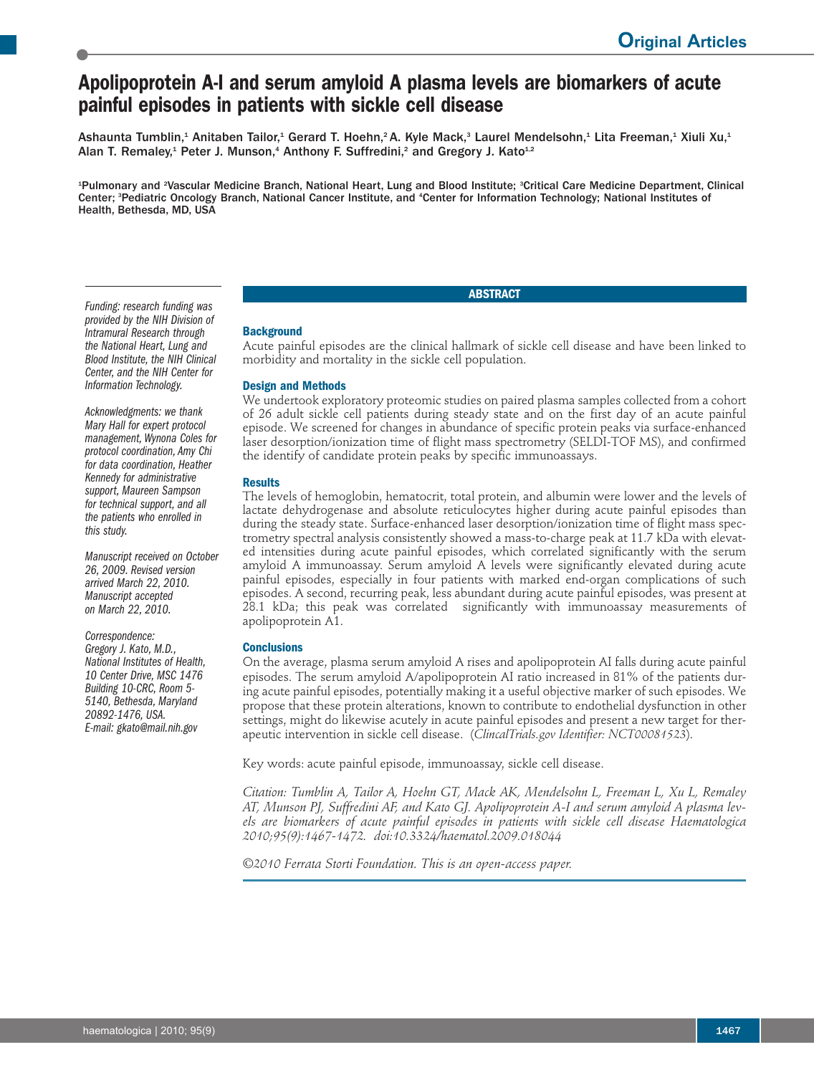# **Apolipoprotein A-I and serum amyloid A plasma levels are biomarkers of acute painful episodes in patients with sickle cell disease**

Ashaunta Tumblin, $^{\text{4}}$  Anitaben Tailor, $^{\text{4}}$  Gerard T. Hoehn, $^{\text{2}}$ A. Kyle Mack, $^{\text{3}}$  Laurel Mendelsohn, $^{\text{4}}$  Lita Freeman, $^{\text{4}}$  Xiuli Xu, $^{\text{4}}$ Alan T. Remaley,<sup>1</sup> Peter J. Munson,<sup>4</sup> Anthony F. Suffredini,<sup>2</sup> and Gregory J. Kato<sup>1,2</sup>

<sup>1</sup>Pulmonary and <sup>2</sup>Vascular Medicine Branch, National Heart, Lung and Blood Institute; <sup>3</sup>Critical Care Medicine Department, Clinical Center; <sup>3</sup>Pediatric Oncology Branch, National Cancer Institute, and <sup>4</sup>Center for Information Technology; National Institutes of Health, Bethesda, MD, USA

# **ABSTRACT**

## *Funding: research funding was provided by the NIH Division of Intramural Research through the National Heart, Lung and Blood Institute, the NIH Clinical Center, and the NIH Center for Information Technology.*

*Acknowledgments: we thank Mary Hall for expert protocol management,Wynona Coles for protocol coordination, Amy Chi for data coordination, Heather Kennedy for administrative support, Maureen Sampson for technical support, and all the patients who enrolled in this study.*

*Manuscript received on October 26, 2009. Revised version arrived March 22, 2010. Manuscript accepted on March 22, 2010.*

*Correspondence: Gregory J. Kato, M.D., National Institutes of Health, <sup>10</sup> Center Drive, MSC <sup>1476</sup> Building 10-CRC, Room 5- 5140, Bethesda, Maryland 20892-1476, USA. E-mail: gkato@mail.nih.gov*

## **Background**

Acute painful episodes are the clinical hallmark of sickle cell disease and have been linked to morbidity and mortality in the sickle cell population.

# **Design and Methods**

We undertook exploratory proteomic studies on paired plasma samples collected from a cohort of 26 adult sickle cell patients during steady state and on the first day of an acute painful episode. We screened for changes in abundance of specific protein peaks via surface-enhanced laser desorption/ionization time of flight mass spectrometry (SELDI-TOF MS), and confirmed the identify of candidate protein peaks by specific immunoassays.

# **Results**

The levels of hemoglobin, hematocrit, total protein, and albumin were lower and the levels of lactate dehydrogenase and absolute reticulocytes higher during acute painful episodes than during the steady state. Surface-enhanced laser desorption/ionization time of flight mass spectrometry spectral analysis consistently showed a mass-to-charge peak at 11.7 kDa with elevated intensities during acute painful episodes, which correlated significantly with the serum amyloid A immunoassay. Serum amyloid A levels were significantly elevated during acute painful episodes, especially in four patients with marked end-organ complications of such episodes. A second, recurring peak, less abundant during acute painful episodes, was present at 28.1 kDa; this peak was correlated significantly with immunoassay measurements of apolipoprotein A1.

# **Conclusions**

On the average, plasma serum amyloid A rises and apolipoprotein AI falls during acute painful episodes. The serum amyloid A/apolipoprotein AI ratio increased in 81% of the patients during acute painful episodes, potentially making it a useful objective marker of such episodes. We propose that these protein alterations, known to contribute to endothelial dysfunction in other settings, might do likewise acutely in acute painful episodes and present a new target for therapeutic intervention in sickle cell disease. (*ClincalTrials.gov Identifier: NCT00081523*).

Key words: acute painful episode, immunoassay, sickle cell disease.

*Citation: Tumblin A, Tailor A, Hoehn GT, Mack AK, Mendelsohn L, Freeman L, Xu L, Remaley AT, Munson PJ, Suffredini AF, and Kato GJ. Apolipoprotein A-I and serum amyloid A plasma levels are biomarkers of acute painful episodes in patients with sickle cell disease Haematologica 2010;95(9):1467-1472. doi:10.3324/haematol.2009.018044*

*©2010 Ferrata Storti Foundation. This is an open-access paper.*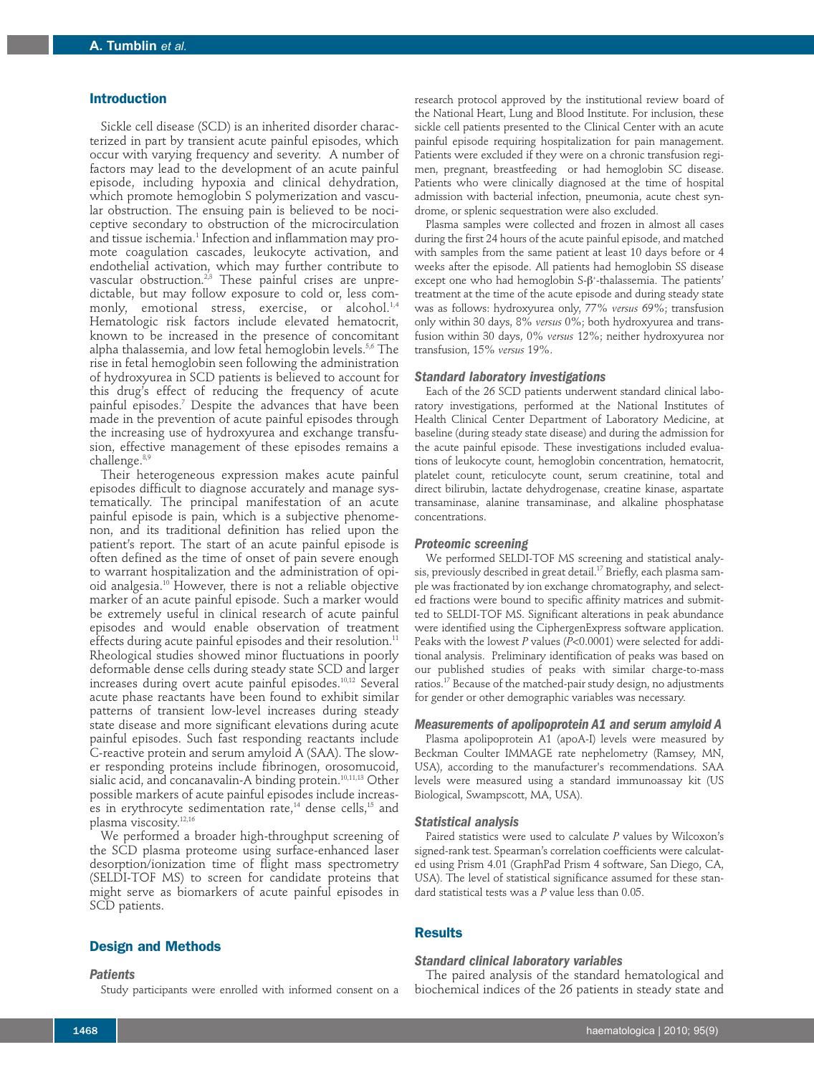#### **Introduction**

Sickle cell disease (SCD) is an inherited disorder characterized in part by transient acute painful episodes, which occur with varying frequency and severity. A number of factors may lead to the development of an acute painful episode, including hypoxia and clinical dehydration, which promote hemoglobin S polymerization and vascular obstruction. The ensuing pain is believed to be nociceptive secondary to obstruction of the microcirculation and tissue ischemia. <sup>1</sup> Infection and inflammation may promote coagulation cascades, leukocyte activation, and endothelial activation, which may further contribute to vascular obstruction. 2,3 These painful crises are unpredictable, but may follow exposure to cold or, less commonly, emotional stress, exercise, or alcohol. 1,4 Hematologic risk factors include elevated hematocrit, known to be increased in the presence of concomitant alpha thalassemia, and low fetal hemoglobin levels. 5,6 The rise in fetal hemoglobin seen following the administration of hydroxyurea in SCD patients is believed to account for this drug's effect of reducing the frequency of acute painful episodes. <sup>7</sup> Despite the advances that have been made in the prevention of acute painful episodes through the increasing use of hydroxyurea and exchange transfusion, effective management of these episodes remains a challenge. 8,9

Their heterogeneous expression makes acute painful episodes difficult to diagnose accurately and manage systematically. The principal manifestation of an acute painful episode is pain, which is a subjective phenomenon, and its traditional definition has relied upon the patient's report. The start of an acute painful episode is often defined as the time of onset of pain severe enough to warrant hospitalization and the administration of opioid analgesia. <sup>10</sup> However, there is not a reliable objective marker of an acute painful episode. Such a marker would be extremely useful in clinical research of acute painful episodes and would enable observation of treatment effects during acute painful episodes and their resolution. 11 Rheological studies showed minor fluctuations in poorly deformable dense cells during steady state SCD and larger increases during overt acute painful episodes. 10,12 Several acute phase reactants have been found to exhibit similar patterns of transient low-level increases during steady state disease and more significant elevations during acute painful episodes. Such fast responding reactants include C-reactive protein and serum amyloid A (SAA). The slower responding proteins include fibrinogen, orosomucoid, sialic acid, and concanavalin-A binding protein. 10,11,13 Other possible markers of acute painful episodes include increases in erythrocyte sedimentation rate, <sup>14</sup> dense cells, <sup>15</sup> and plasma viscosity. $^{12,16}$ 

We performed a broader high-throughput screening of the SCD plasma proteome using surface-enhanced laser desorption/ionization time of flight mass spectrometry (SELDI-TOF MS) to screen for candidate proteins that might serve as biomarkers of acute painful episodes in SCD patients.

# **Design and Methods**

#### *Patients*

Study participants were enrolled with informed consent on a

research protocol approved by the institutional review board of the National Heart, Lung and Blood Institute. For inclusion, these sickle cell patients presented to the Clinical Center with an acute painful episode requiring hospitalization for pain management. Patients were excluded if they were on a chronic transfusion regimen, pregnant, breastfeeding or had hemoglobin SC disease. Patients who were clinically diagnosed at the time of hospital admission with bacterial infection, pneumonia, acute chest syndrome, or splenic sequestration were also excluded.

Plasma samples were collected and frozen in almost all cases during the first 24 hours of the acute painful episode, and matched with samples from the same patient at least 10 days before or 4 weeks after the episode. All patients had hemoglobin SS disease  $\epsilon$ xcept one who had hemoglobin S- $\beta^*$ -thalassemia. The patients' treatment at the time of the acute episode and during steady state was as follows: hydroxyurea only, 77% *versus* 69%; transfusion only within 30 days, 8% *versus* 0%; both hydroxyurea and transfusion within 30 days, 0% *versus* 12%; neither hydroxyurea nor transfusion, 15% *versus* 19%.

#### *Standard laboratory investigations*

Each of the 26 SCD patients underwent standard clinical laboratory investigations, performed at the National Institutes of Health Clinical Center Department of Laboratory Medicine, at baseline (during steady state disease) and during the admission for the acute painful episode. These investigations included evaluations of leukocyte count, hemoglobin concentration, hematocrit, platelet count, reticulocyte count, serum creatinine, total and direct bilirubin, lactate dehydrogenase, creatine kinase, aspartate transaminase, alanine transaminase, and alkaline phosphatase concentrations.

#### *Proteomic screening*

We performed SELDI-TOF MS screening and statistical analysis, previously described in great detail. <sup>17</sup> Briefly, each plasma sample was fractionated by ion exchange chromatography, and selected fractions were bound to specific affinity matrices and submitted to SELDI-TOF MS. Significant alterations in peak abundance were identified using the CiphergenExpress software application. Peaks with the lowest *P* values (*P*<0.0001) were selected for additional analysis. Preliminary identification of peaks was based on our published studies of peaks with similar charge-to-mass ratios. <sup>17</sup> Because of the matched-pair study design, no adjustments for gender or other demographic variables was necessary.

#### *Measurements of apolipoprotein A1 and serum amyloid A*

Plasma apolipoprotein A1 (apoA-I) levels were measured by Beckman Coulter IMMAGE rate nephelometry (Ramsey, MN, USA), according to the manufacturer's recommendations. SAA levels were measured using a standard immunoassay kit (US Biological, Swampscott, MA, USA).

#### *Statistical analysis*

Paired statistics were used to calculate *P* values by Wilcoxon's signed-rank test. Spearman's correlation coefficients were calculated using Prism 4.01 (GraphPad Prism 4 software, San Diego, CA, USA). The level of statistical significance assumed for these standard statistical tests was a *P* value less than 0.05.

## **Results**

#### *Standard clinical laboratory variables*

The paired analysis of the standard hematological and biochemical indices of the 26 patients in steady state and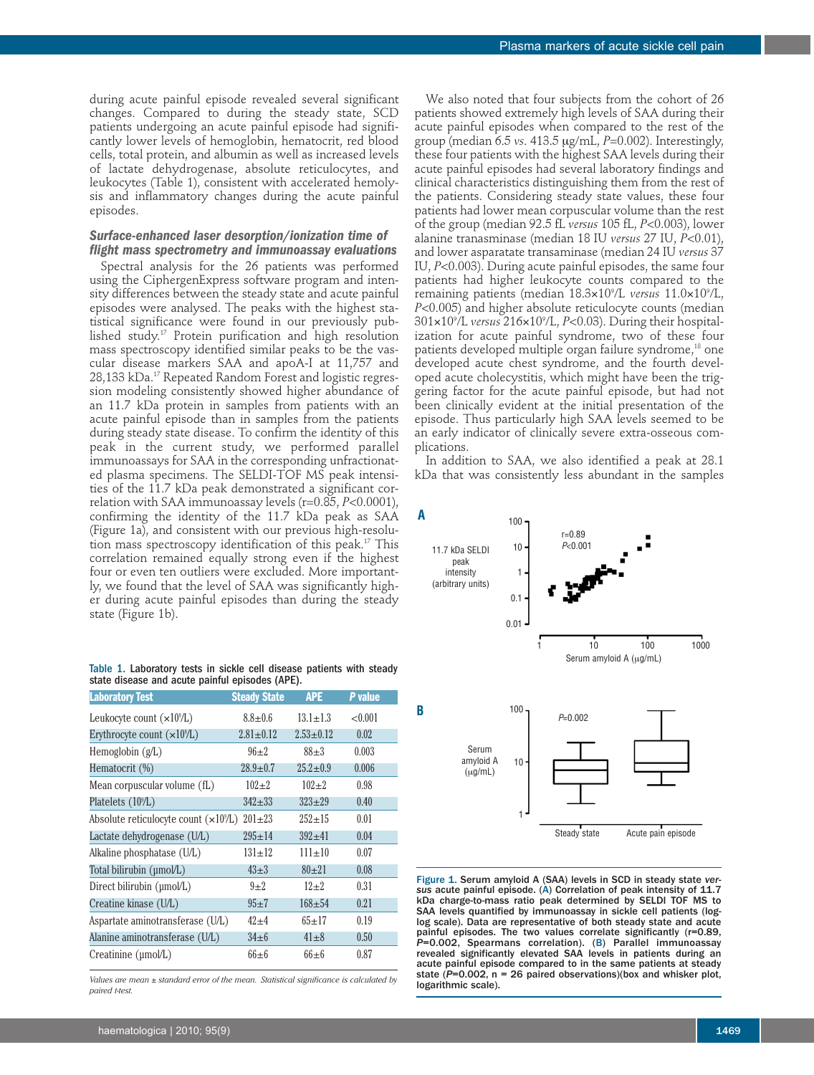during acute painful episode revealed several significant changes. Compared to during the steady state, SCD patients undergoing an acute painful episode had significantly lower levels of hemoglobin, hematocrit, red blood cells, total protein, and albumin as well as increased levels of lactate dehydrogenase, absolute reticulocytes, and leukocytes (Table 1), consistent with accelerated hemolysis and inflammatory changes during the acute painful episodes.

## *Surface-enhanced laser desorption/ionization time of flight mass spectrometry and immunoassay evaluations*

Spectral analysis for the 26 patients was performed using the CiphergenExpress software program and intensity differences between the steady state and acute painful episodes were analysed. The peaks with the highest statistical significance were found in our previously published study. <sup>17</sup> Protein purification and high resolution mass spectroscopy identified similar peaks to be the vascular disease markers SAA and apoA-I at 11,757 and 28,133 kDa. <sup>17</sup> Repeated Random Forest and logistic regression modeling consistently showed higher abundance of an 11.7 kDa protein in samples from patients with an acute painful episode than in samples from the patients during steady state disease. To confirm the identity of this peak in the current study, we performed parallel immunoassays for SAA in the corresponding unfractionated plasma specimens. The SELDI-TOF MS peak intensities of the 11.7 kDa peak demonstrated a significant correlation with SAA immunoassay levels (r=0.85, *P*<0.0001), confirming the identity of the 11.7 kDa peak as SAA (Figure 1a), and consistent with our previous high-resolution mass spectroscopy identification of this peak. <sup>17</sup> This correlation remained equally strong even if the highest four or even ten outliers were excluded. More importantly, we found that the level of SAA was significantly higher during acute painful episodes than during the steady state (Figure 1b).

Table 1. Laboratory tests in sickle cell disease patients with steady state disease and acute painful episodes (APE).

| <b>Laboratory Test</b>                        | <b>Steady State</b> | <b>APE</b>      | P value |  |
|-----------------------------------------------|---------------------|-----------------|---------|--|
| Leukocyte count $(\times 10^9/\text{L})$      | $8.8 \pm 0.6$       | $13.1 \pm 1.3$  | < 0.001 |  |
| Erythrocyte count $(\times 10^9/L)$           | $2.81 \pm 0.12$     | $2.53 \pm 0.12$ | 0.02    |  |
| Hemoglobin $(g/L)$                            | $96+2$              | $88 + 3$        | 0.003   |  |
| Hematocrit (%)                                | $28.9 \pm 0.7$      | $25.2 \pm 0.9$  | 0.006   |  |
| Mean corpuscular volume (fL)                  | $102 + 2$           | $102 + 2$       | 0.98    |  |
| Platelets (10 <sup>9</sup> /L)                | $342 + 33$          | $323 + 29$      | 0.40    |  |
| Absolute reticulocyte count $(\times 10^9/L)$ | $201 \pm 23$        | $252 + 15$      | 0.01    |  |
| Lactate dehydrogenase (U/L)                   | $295 \pm 14$        | $392 + 41$      | 0.04    |  |
| Alkaline phosphatase (U/L)                    | $131 \pm 12$        | $111 \pm 10$    | 0.07    |  |
| Total bilirubin (µmol/L)                      | $43\pm3$            | $80+21$         | 0.08    |  |
| Direct bilirubin (µmol/L)                     | $9+2$               | $12 + 2$        | 0.31    |  |
| Creatine kinase (U/L)                         | $95+7$              | $168 + 54$      | 0.21    |  |
| Aspartate aminotransferase (U/L)              | $42 + 4$            | $65 + 17$       | 0.19    |  |
| Alanine aminotransferase (U/L)                | $34\pm 6$           | $41\pm8$        | 0.50    |  |
| Creatinine (µmol/L)                           | $66 \pm 6$          | $66 \pm 6$      | 0.87    |  |

*Values are mean ± standard error of the mean. Statistical significance is calculated by paired t-test.*

We also noted that four subjects from the cohort of 26 patients showed extremely high levels of SAA during their acute painful episodes when compared to the rest of the group (median 6.5 *vs*. 413.5 mg/mL, *P*=0.002). Interestingly, these four patients with the highest SAA levels during their acute painful episodes had several laboratory findings and clinical characteristics distinguishing them from the rest of the patients. Considering steady state values, these four patients had lower mean corpuscular volume than the rest of the group (median 92.5 fL *versus* 105 fL, *P*<0.003), lower alanine tranasminase (median 18 IU *versus* 27 IU, *P*<0.01), and lower asparatate transaminase (median 24 IU *versus* 37 IU, *P*<0.003). During acute painful episodes, the same four patients had higher leukocyte counts compared to the remaining patients (median 18.3¥109 /L *versus* 11.0¥109 /L, *P*<0.005) and higher absolute reticulocyte counts (median 301¥109 /L *versus* 216¥109 /L, *P*<0.03). During their hospitalization for acute painful syndrome, two of these four patients developed multiple organ failure syndrome, <sup>18</sup> one developed acute chest syndrome, and the fourth developed acute cholecystitis, which might have been the triggering factor for the acute painful episode, but had not been clinically evident at the initial presentation of the episode. Thus particularly high SAA levels seemed to be an early indicator of clinically severe extra-osseous complications.

In addition to SAA, we also identified a peak at 28.1 kDa that was consistently less abundant in the samples



Figure 1. Serum amyloid A (SAA) levels in SCD in steady state *versus* acute painful episode. (A) Correlation of peak intensity of 11.7 kDa charge-to-mass ratio peak determined by SELDI TOF MS to SAA levels quantified by immunoassay in sickle cell patients (loglog scale). Data are representative of both steady state and acute painful episodes. The two values correlate significantly (r=0.89, *P*=0.002, Spearmans correlation). (B) Parallel immunoassay revealed significantly elevated SAA levels in patients during an acute painful episode compared to in the same patients at steady state (P=0.002, n = 26 paired observations)(box and whisker plot, logarithmic scale).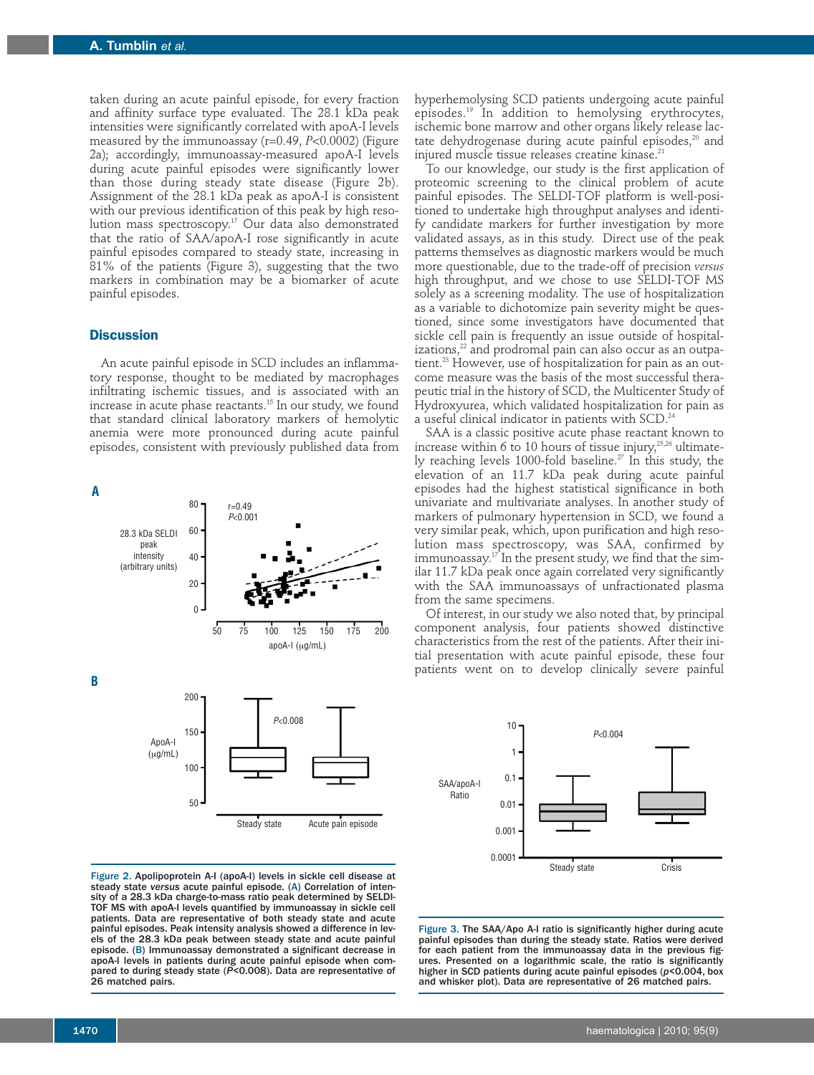taken during an acute painful episode, for every fraction and affinity surface type evaluated. The 28.1 kDa peak intensities were significantly correlated with apoA-I levels measured by the immunoassay (r=0.49, *P*<0.0002) (Figure 2a); accordingly, immunoassay-measured apoA-I levels during acute painful episodes were significantly lower than those during steady state disease (Figure 2b). Assignment of the 28.1 kDa peak as apoA-I is consistent with our previous identification of this peak by high resolution mass spectroscopy. <sup>17</sup> Our data also demonstrated that the ratio of SAA/apoA-I rose significantly in acute painful episodes compared to steady state, increasing in 81% of the patients (Figure 3), suggesting that the two markers in combination may be a biomarker of acute painful episodes.

## **Discussion**

An acute painful episode in SCD includes an inflammatory response, thought to be mediated by macrophages infiltrating ischemic tissues, and is associated with an increase in acute phase reactants. <sup>15</sup> In our study, we found that standard clinical laboratory markers of hemolytic anemia were more pronounced during acute painful episodes, consistent with previously published data from

**B A**  $r=0.49$ *P*<0.001 50 75 100 125 150 175 200 apoA-I (ug/mL) *P*<0.008 ApoA-I  $(\mu q/mL)$ 28.3 kDa SELDI peak intensity (arbitrary units) 200 150 100 50 80 60 40 20  $\overline{0}$ Steady state Acute pain episode

hyperhemolysing SCD patients undergoing acute painful episodes. <sup>19</sup> In addition to hemolysing erythrocytes, ischemic bone marrow and other organs likely release lactate dehydrogenase during acute painful episodes, <sup>20</sup> and injured muscle tissue releases creatine kinase. 21

To our knowledge, our study is the first application of proteomic screening to the clinical problem of acute painful episodes. The SELDI-TOF platform is well-positioned to undertake high throughput analyses and identify candidate markers for further investigation by more validated assays, as in this study. Direct use of the peak patterns themselves as diagnostic markers would be much more questionable, due to the trade-off of precision *versus* high throughput, and we chose to use SELDI-TOF MS solely as a screening modality. The use of hospitalization as a variable to dichotomize pain severity might be questioned, since some investigators have documented that sickle cell pain is frequently an issue outside of hospitalizations, <sup>22</sup> and prodromal pain can also occur as an outpatient. <sup>23</sup> However, use of hospitalization for pain as an outcome measure was the basis of the most successful therapeutic trial in the history of SCD, the Multicenter Study of Hydroxyurea, which validated hospitalization for pain as a useful clinical indicator in patients with SCD. 24

SAA is a classic positive acute phase reactant known to increase within 6 to 10 hours of tissue injury, $^{25,26}$  ultimately reaching levels 1000-fold baseline. <sup>27</sup> In this study, the elevation of an 11.7 kDa peak during acute painful episodes had the highest statistical significance in both univariate and multivariate analyses. In another study of markers of pulmonary hypertension in SCD, we found a very similar peak, which, upon purification and high resolution mass spectroscopy, was SAA, confirmed by immunoassay. <sup>17</sup> In the present study, we find that the similar 11.7 kDa peak once again correlated very significantly with the SAA immunoassays of unfractionated plasma from the same specimens.

Of interest, in our study we also noted that, by principal component analysis, four patients showed distinctive characteristics from the rest of the patients. After their initial presentation with acute painful episode, these four patients went on to develop clinically severe painful



Figure 2. Apolipoprotein A-I (apoA-I) levels in sickle cell disease at steady state *versus* acute painful episode. (A) Correlation of intensity of a 28.3 kDa charge-to-mass ratio peak determined by SELDI-TOF MS with apoA-I levels quantified by immunoassay in sickle cell patients. Data are representative of both steady state and acute painful episodes. Peak intensity analysis showed a difference in levels of the 28.3 kDa peak between steady state and acute painful episode. (B) Immunoassay demonstrated a significant decrease in apoA-I levels in patients during acute painful episode when compared to during steady state (*P*<0.008). Data are representative of 26 matched pairs.

Figure 3. The SAA/Apo A-I ratio is significantly higher during acute painful episodes than during the steady state. Ratios were derived for each patient from the immunoassay data in the previous figures. Presented on a logarithmic scale, the ratio is significantly higher in SCD patients during acute painful episodes (*p*<0.004, box and whisker plot). Data are representative of 26 matched pairs.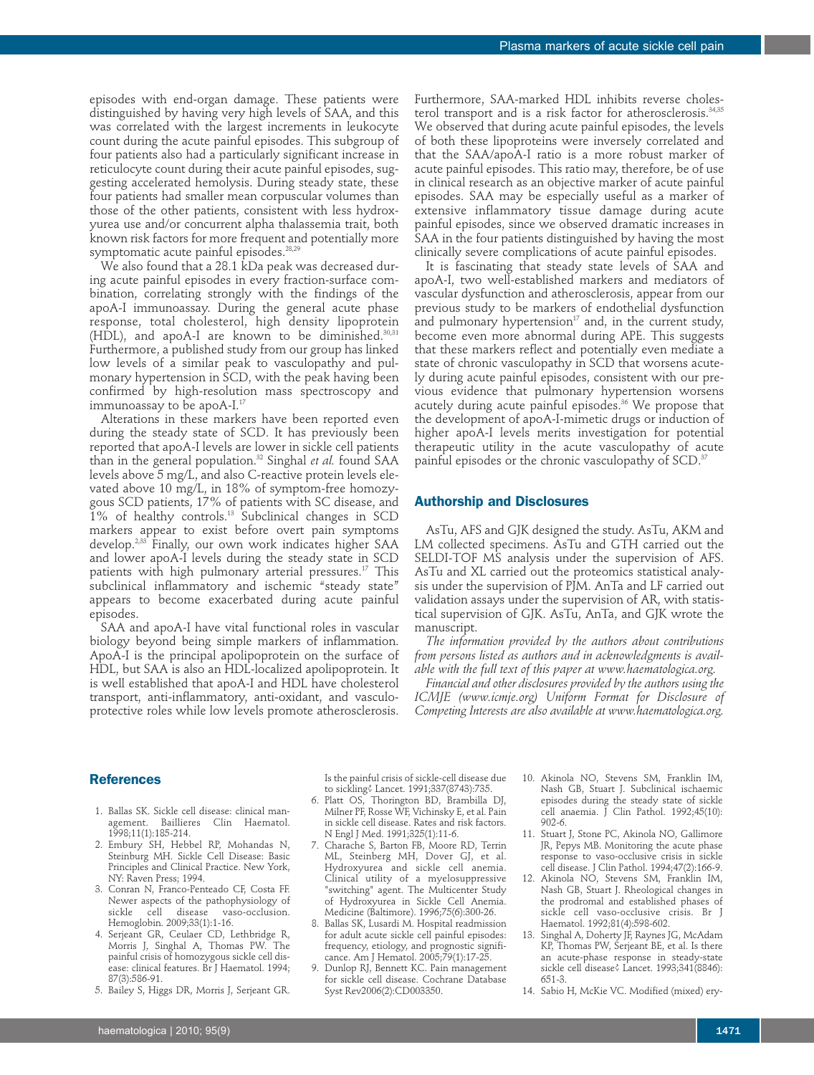episodes with end-organ damage. These patients were distinguished by having very high levels of SAA, and this was correlated with the largest increments in leukocyte count during the acute painful episodes. This subgroup of four patients also had a particularly significant increase in reticulocyte count during their acute painful episodes, suggesting accelerated hemolysis. During steady state, these four patients had smaller mean corpuscular volumes than those of the other patients, consistent with less hydroxyurea use and/or concurrent alpha thalassemia trait, both known risk factors for more frequent and potentially more symptomatic acute painful episodes. 28,29

We also found that a 28.1 kDa peak was decreased during acute painful episodes in every fraction-surface combination, correlating strongly with the findings of the apoA-I immunoassay. During the general acute phase response, total cholesterol, high density lipoprotein (HDL), and apoA-I are known to be diminished. $^{30,31}$ Furthermore, a published study from our group has linked low levels of a similar peak to vasculopathy and pulmonary hypertension in SCD, with the peak having been confirmed by high-resolution mass spectroscopy and immunoassay to be apoA-I. 17

Alterations in these markers have been reported even during the steady state of SCD. It has previously been reported that apoA-I levels are lower in sickle cell patients than in the general population. <sup>32</sup> Singhal *et al.* found SAA levels above 5 mg/L, and also C-reactive protein levels elevated above 10 mg/L, in 18% of symptom-free homozygous SCD patients, 17% of patients with SC disease, and 1% of healthy controls. <sup>13</sup> Subclinical changes in SCD markers appear to exist before overt pain symptoms develop. 2,33 Finally, our own work indicates higher SAA and lower apoA-I levels during the steady state in SCD patients with high pulmonary arterial pressures. <sup>17</sup> This subclinical inflammatory and ischemic "steady state" appears to become exacerbated during acute painful episodes.

SAA and apoA-I have vital functional roles in vascular biology beyond being simple markers of inflammation. ApoA-I is the principal apolipoprotein on the surface of HDL, but SAA is also an HDL-localized apolipoprotein. It is well established that apoA-I and HDL have cholesterol transport, anti-inflammatory, anti-oxidant, and vasculoprotective roles while low levels promote atherosclerosis.

Furthermore, SAA-marked HDL inhibits reverse cholesterol transport and is a risk factor for atherosclerosis. 34,35 We observed that during acute painful episodes, the levels of both these lipoproteins were inversely correlated and that the SAA/apoA-I ratio is a more robust marker of acute painful episodes. This ratio may, therefore, be of use in clinical research as an objective marker of acute painful episodes. SAA may be especially useful as a marker of extensive inflammatory tissue damage during acute painful episodes, since we observed dramatic increases in SAA in the four patients distinguished by having the most clinically severe complications of acute painful episodes.

It is fascinating that steady state levels of SAA and apoA-I, two well-established markers and mediators of vascular dysfunction and atherosclerosis, appear from our previous study to be markers of endothelial dysfunction and pulmonary hypertension $17$  and, in the current study, become even more abnormal during APE. This suggests that these markers reflect and potentially even mediate a state of chronic vasculopathy in SCD that worsens acutely during acute painful episodes, consistent with our previous evidence that pulmonary hypertension worsens acutely during acute painful episodes. <sup>36</sup> We propose that the development of apoA-I-mimetic drugs or induction of higher apoA-I levels merits investigation for potential therapeutic utility in the acute vasculopathy of acute painful episodes or the chronic vasculopathy of SCD. $^{\textrm{\tiny{37}}}$ 

#### **Authorship and Disclosures**

AsTu, AFS and GJK designed the study. AsTu, AKM and LM collected specimens. AsTu and GTH carried out the SELDI-TOF MS analysis under the supervision of AFS. AsTu and XL carried out the proteomics statistical analysis under the supervision of PJM. AnTa and LF carried out validation assays under the supervision of AR, with statistical supervision of GJK. AsTu, AnTa, and GJK wrote the manuscript.

*The information provided by the authors about contributions from persons listed as authors and in acknowledgments is available with the full text of this paper at www.haematologica.org.*

*Financial and other disclosures provided by the authors using the ICMJE (www.icmje.org) Uniform Format for Disclosure of Competing Interests are also available at www.haematologica.org.*

## **References**

- 1. Ballas SK. Sickle cell disease: clinical management. Baillieres Clin Haematol. 1998;11(1):185-214.
- 2. Embury SH, Hebbel RP, Mohandas N, Steinburg MH. Sickle Cell Disease: Basic Principles and Clinical Practice. New York, NY: Raven Press; 1994.
- 3. Conran N, Franco-Penteado CF, Costa FF. Newer aspects of the pathophysiology of sickle cell disease vaso-occlusion. Hemoglobin. 2009;33(1):1-16.
- 4. Serjeant GR, Ceulaer CD, Lethbridge R, Morris J, Singhal A, Thomas PW. The painful crisis of homozygous sickle cell disease: clinical features. Br J Haematol. 1994; 87(3):586-91.
- 5. Bailey S, Higgs DR, Morris J, Serjeant GR.

Is the painful crisis of sickle-cell disease due to sickling? Lancet. 1991;337(8743):735.

- 6. Platt OS, Thorington BD, Brambilla DJ, Milner PF, Rosse WF, Vichinsky E, et al. Pain in sickle cell disease. Rates and risk factors. N Engl J Med. 1991;325(1):11-6.
- 7. Charache S, Barton FB, Moore RD, Terrin ML, Steinberg MH, Dover GJ, et al. Hydroxyurea and sickle cell anemia. Clinical utility of a myelosuppressive "switching" agent. The Multicenter Study of Hydroxyurea in Sickle Cell Anemia. Medicine (Baltimore). 1996;75(6):300-26.
- 8. Ballas SK, Lusardi M. Hospital readmission for adult acute sickle cell painful episodes: frequency, etiology, and prognostic significance. Am J Hematol. 2005;79(1):17-25.
- 9. Dunlop RJ, Bennett KC. Pain management for sickle cell disease. Cochrane Database Syst Rev2006(2):CD003350.
- 10. Akinola NO, Stevens SM, Franklin IM, Nash GB, Stuart J. Subclinical ischaemic episodes during the steady state of sickle cell anaemia. J Clin Pathol. 1992;45(10): 902-6.
- 11. Stuart J, Stone PC, Akinola NO, Gallimore JR, Pepys MB. Monitoring the acute phase response to vaso-occlusive crisis in sickle cell disease. J Clin Pathol. 1994;47(2):166-9.
- 12. Akinola NO, Stevens SM, Franklin IM, Nash GB, Stuart J. Rheological changes in the prodromal and established phases of sickle cell vaso-occlusive crisis. Br J Haematol. 1992;81(4):598-602.
- 13. Singhal A, Doherty JF, Raynes JG, McAdam KP, Thomas PW, Serjeant BE, et al. Is there an acute-phase response in steady-state sickle cell disease? Lancet. 1993;341(8846): 651-3.
- 14. Sabio H, McKie VC. Modified (mixed) ery-